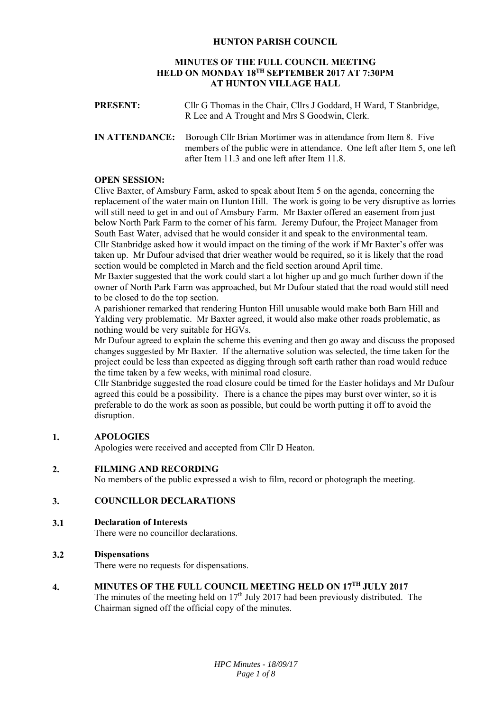# **HUNTON PARISH COUNCIL**

# **MINUTES OF THE FULL COUNCIL MEETING HELD ON MONDAY 18TH SEPTEMBER 2017 AT 7:30PM AT HUNTON VILLAGE HALL**

| <b>PRESENT:</b> | Cllr G Thomas in the Chair, Cllrs J Goddard, H Ward, T Stanbridge,<br>R Lee and A Trought and Mrs S Goodwin, Clerk.                                                                                                 |
|-----------------|---------------------------------------------------------------------------------------------------------------------------------------------------------------------------------------------------------------------|
|                 | <b>IN ATTENDANCE:</b> Borough Cllr Brian Mortimer was in attendance from Item 8. Five<br>members of the public were in attendance. One left after Item 5, one left<br>after Item 11.3 and one left after Item 11.8. |

# **OPEN SESSION:**

Clive Baxter, of Amsbury Farm, asked to speak about Item 5 on the agenda, concerning the replacement of the water main on Hunton Hill. The work is going to be very disruptive as lorries will still need to get in and out of Amsbury Farm. Mr Baxter offered an easement from just below North Park Farm to the corner of his farm. Jeremy Dufour, the Project Manager from South East Water, advised that he would consider it and speak to the environmental team. Cllr Stanbridge asked how it would impact on the timing of the work if Mr Baxter's offer was taken up. Mr Dufour advised that drier weather would be required, so it is likely that the road section would be completed in March and the field section around April time.

Mr Baxter suggested that the work could start a lot higher up and go much further down if the owner of North Park Farm was approached, but Mr Dufour stated that the road would still need to be closed to do the top section.

A parishioner remarked that rendering Hunton Hill unusable would make both Barn Hill and Yalding very problematic. Mr Baxter agreed, it would also make other roads problematic, as nothing would be very suitable for HGVs.

Mr Dufour agreed to explain the scheme this evening and then go away and discuss the proposed changes suggested by Mr Baxter. If the alternative solution was selected, the time taken for the project could be less than expected as digging through soft earth rather than road would reduce the time taken by a few weeks, with minimal road closure.

Cllr Stanbridge suggested the road closure could be timed for the Easter holidays and Mr Dufour agreed this could be a possibility. There is a chance the pipes may burst over winter, so it is preferable to do the work as soon as possible, but could be worth putting it off to avoid the disruption.

# **1. APOLOGIES**

Apologies were received and accepted from Cllr D Heaton.

#### **2. FILMING AND RECORDING**

No members of the public expressed a wish to film, record or photograph the meeting.

# **3. COUNCILLOR DECLARATIONS**

#### **3.1 Declaration of Interests**

There were no councillor declarations.

# **3.2 Dispensations**

There were no requests for dispensations.

# **4. MINUTES OF THE FULL COUNCIL MEETING HELD ON 17TH JULY 2017**

The minutes of the meeting held on  $17<sup>th</sup>$  July 2017 had been previously distributed. The Chairman signed off the official copy of the minutes.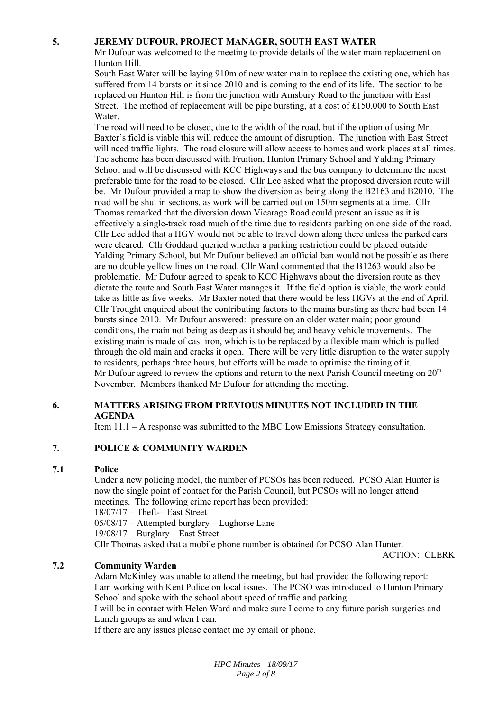# **5. JEREMY DUFOUR, PROJECT MANAGER, SOUTH EAST WATER**

Mr Dufour was welcomed to the meeting to provide details of the water main replacement on Hunton Hill.

South East Water will be laying 910m of new water main to replace the existing one, which has suffered from 14 bursts on it since 2010 and is coming to the end of its life. The section to be replaced on Hunton Hill is from the junction with Amsbury Road to the junction with East Street. The method of replacement will be pipe bursting, at a cost of £150,000 to South East Water.

The road will need to be closed, due to the width of the road, but if the option of using Mr Baxter's field is viable this will reduce the amount of disruption. The junction with East Street will need traffic lights. The road closure will allow access to homes and work places at all times. The scheme has been discussed with Fruition, Hunton Primary School and Yalding Primary School and will be discussed with KCC Highways and the bus company to determine the most preferable time for the road to be closed. Cllr Lee asked what the proposed diversion route will be. Mr Dufour provided a map to show the diversion as being along the B2163 and B2010. The road will be shut in sections, as work will be carried out on 150m segments at a time. Cllr Thomas remarked that the diversion down Vicarage Road could present an issue as it is effectively a single-track road much of the time due to residents parking on one side of the road. Cllr Lee added that a HGV would not be able to travel down along there unless the parked cars were cleared. Cllr Goddard queried whether a parking restriction could be placed outside Yalding Primary School, but Mr Dufour believed an official ban would not be possible as there are no double yellow lines on the road. Cllr Ward commented that the B1263 would also be problematic. Mr Dufour agreed to speak to KCC Highways about the diversion route as they dictate the route and South East Water manages it. If the field option is viable, the work could take as little as five weeks. Mr Baxter noted that there would be less HGVs at the end of April. Cllr Trought enquired about the contributing factors to the mains bursting as there had been 14 bursts since 2010. Mr Dufour answered: pressure on an older water main; poor ground conditions, the main not being as deep as it should be; and heavy vehicle movements. The existing main is made of cast iron, which is to be replaced by a flexible main which is pulled through the old main and cracks it open. There will be very little disruption to the water supply to residents, perhaps three hours, but efforts will be made to optimise the timing of it. Mr Dufour agreed to review the options and return to the next Parish Council meeting on  $20<sup>th</sup>$ November. Members thanked Mr Dufour for attending the meeting.

# **6. MATTERS ARISING FROM PREVIOUS MINUTES NOT INCLUDED IN THE AGENDA**

Item 11.1 – A response was submitted to the MBC Low Emissions Strategy consultation.

#### **7. POLICE & COMMUNITY WARDEN**

#### **7.1 Police**

Under a new policing model, the number of PCSOs has been reduced. PCSO Alan Hunter is now the single point of contact for the Parish Council, but PCSOs will no longer attend meetings. The following crime report has been provided: 18/07/17 – Theft-– East Street 05/08/17 – Attempted burglary – Lughorse Lane

19/08/17 – Burglary – East Street

Cllr Thomas asked that a mobile phone number is obtained for PCSO Alan Hunter.

ACTION: CLERK

#### **7.2 Community Warden**

Adam McKinley was unable to attend the meeting, but had provided the following report: I am working with Kent Police on local issues. The PCSO was introduced to Hunton Primary School and spoke with the school about speed of traffic and parking.

I will be in contact with Helen Ward and make sure I come to any future parish surgeries and Lunch groups as and when I can.

If there are any issues please contact me by email or phone.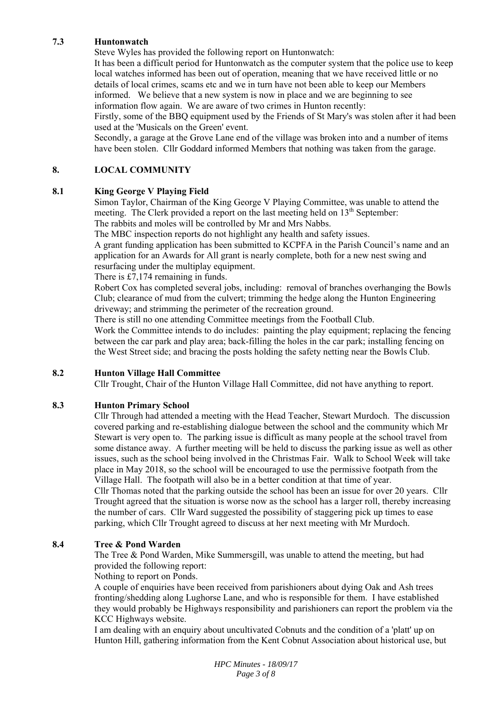# **7.3 Huntonwatch**

Steve Wyles has provided the following report on Huntonwatch:

It has been a difficult period for Huntonwatch as the computer system that the police use to keep local watches informed has been out of operation, meaning that we have received little or no details of local crimes, scams etc and we in turn have not been able to keep our Members informed. We believe that a new system is now in place and we are beginning to see information flow again. We are aware of two crimes in Hunton recently:

Firstly, some of the BBQ equipment used by the Friends of St Mary's was stolen after it had been used at the 'Musicals on the Green' event.

Secondly, a garage at the Grove Lane end of the village was broken into and a number of items have been stolen. Cllr Goddard informed Members that nothing was taken from the garage.

# **8. LOCAL COMMUNITY**

# **8.1 King George V Playing Field**

Simon Taylor, Chairman of the King George V Playing Committee, was unable to attend the meeting. The Clerk provided a report on the last meeting held on 13<sup>th</sup> September: The rabbits and moles will be controlled by Mr and Mrs Nabbs.

The MBC inspection reports do not highlight any health and safety issues.

A grant funding application has been submitted to KCPFA in the Parish Council's name and an application for an Awards for All grant is nearly complete, both for a new nest swing and resurfacing under the multiplay equipment.

There is £7,174 remaining in funds.

Robert Cox has completed several jobs, including: removal of branches overhanging the Bowls Club; clearance of mud from the culvert; trimming the hedge along the Hunton Engineering driveway; and strimming the perimeter of the recreation ground.

There is still no one attending Committee meetings from the Football Club.

Work the Committee intends to do includes: painting the play equipment; replacing the fencing between the car park and play area; back-filling the holes in the car park; installing fencing on the West Street side; and bracing the posts holding the safety netting near the Bowls Club.

#### **8.2 Hunton Village Hall Committee**

Cllr Trought, Chair of the Hunton Village Hall Committee, did not have anything to report.

### **8.3 Hunton Primary School**

Cllr Through had attended a meeting with the Head Teacher, Stewart Murdoch. The discussion covered parking and re-establishing dialogue between the school and the community which Mr Stewart is very open to. The parking issue is difficult as many people at the school travel from some distance away. A further meeting will be held to discuss the parking issue as well as other issues, such as the school being involved in the Christmas Fair. Walk to School Week will take place in May 2018, so the school will be encouraged to use the permissive footpath from the Village Hall. The footpath will also be in a better condition at that time of year.

Cllr Thomas noted that the parking outside the school has been an issue for over 20 years. Cllr Trought agreed that the situation is worse now as the school has a larger roll, thereby increasing the number of cars. Cllr Ward suggested the possibility of staggering pick up times to ease parking, which Cllr Trought agreed to discuss at her next meeting with Mr Murdoch.

#### **8.4 Tree & Pond Warden**

The Tree & Pond Warden, Mike Summersgill, was unable to attend the meeting, but had provided the following report:

Nothing to report on Ponds.

A couple of enquiries have been received from parishioners about dying Oak and Ash trees fronting/shedding along Lughorse Lane, and who is responsible for them. I have established they would probably be Highways responsibility and parishioners can report the problem via the KCC Highways website.

I am dealing with an enquiry about uncultivated Cobnuts and the condition of a 'platt' up on Hunton Hill, gathering information from the Kent Cobnut Association about historical use, but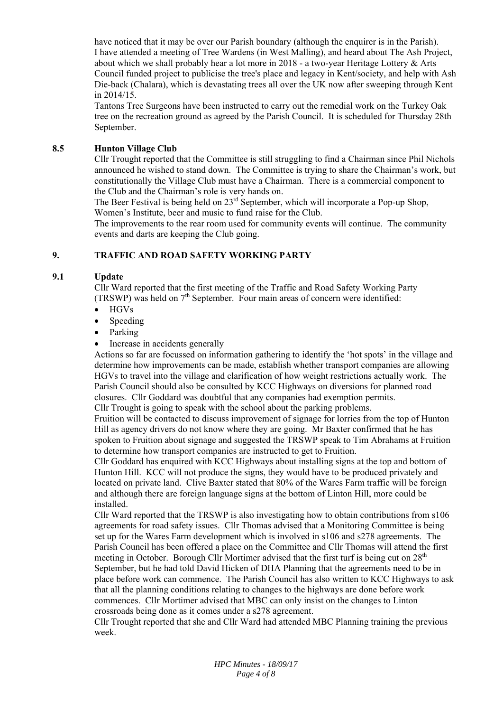have noticed that it may be over our Parish boundary (although the enquirer is in the Parish). I have attended a meeting of Tree Wardens (in West Malling), and heard about The Ash Project, about which we shall probably hear a lot more in 2018 - a two-year Heritage Lottery & Arts Council funded project to publicise the tree's place and legacy in Kent/society, and help with Ash Die-back (Chalara), which is devastating trees all over the UK now after sweeping through Kent in 2014/15.

Tantons Tree Surgeons have been instructed to carry out the remedial work on the Turkey Oak tree on the recreation ground as agreed by the Parish Council. It is scheduled for Thursday 28th September.

# **8.5 Hunton Village Club**

Cllr Trought reported that the Committee is still struggling to find a Chairman since Phil Nichols announced he wished to stand down. The Committee is trying to share the Chairman's work, but constitutionally the Village Club must have a Chairman. There is a commercial component to the Club and the Chairman's role is very hands on.

The Beer Festival is being held on 23<sup>rd</sup> September, which will incorporate a Pop-up Shop. Women's Institute, beer and music to fund raise for the Club.

The improvements to the rear room used for community events will continue. The community events and darts are keeping the Club going.

# **9. TRAFFIC AND ROAD SAFETY WORKING PARTY**

# **9.1 Update**

Cllr Ward reported that the first meeting of the Traffic and Road Safety Working Party (TRSWP) was held on  $7<sup>th</sup>$  September. Four main areas of concern were identified:

- HGVs
- Speeding
- Parking
- Increase in accidents generally

Actions so far are focussed on information gathering to identify the 'hot spots' in the village and determine how improvements can be made, establish whether transport companies are allowing HGVs to travel into the village and clarification of how weight restrictions actually work. The Parish Council should also be consulted by KCC Highways on diversions for planned road closures. Cllr Goddard was doubtful that any companies had exemption permits. Cllr Trought is going to speak with the school about the parking problems.

Fruition will be contacted to discuss improvement of signage for lorries from the top of Hunton Hill as agency drivers do not know where they are going. Mr Baxter confirmed that he has spoken to Fruition about signage and suggested the TRSWP speak to Tim Abrahams at Fruition to determine how transport companies are instructed to get to Fruition.

Cllr Goddard has enquired with KCC Highways about installing signs at the top and bottom of Hunton Hill. KCC will not produce the signs, they would have to be produced privately and located on private land. Clive Baxter stated that 80% of the Wares Farm traffic will be foreign and although there are foreign language signs at the bottom of Linton Hill, more could be installed.

Cllr Ward reported that the TRSWP is also investigating how to obtain contributions from s106 agreements for road safety issues. Cllr Thomas advised that a Monitoring Committee is being set up for the Wares Farm development which is involved in s106 and s278 agreements. The Parish Council has been offered a place on the Committee and Cllr Thomas will attend the first meeting in October. Borough Cllr Mortimer advised that the first turf is being cut on  $28<sup>th</sup>$ September, but he had told David Hicken of DHA Planning that the agreements need to be in place before work can commence. The Parish Council has also written to KCC Highways to ask that all the planning conditions relating to changes to the highways are done before work commences. Cllr Mortimer advised that MBC can only insist on the changes to Linton crossroads being done as it comes under a s278 agreement.

Cllr Trought reported that she and Cllr Ward had attended MBC Planning training the previous week.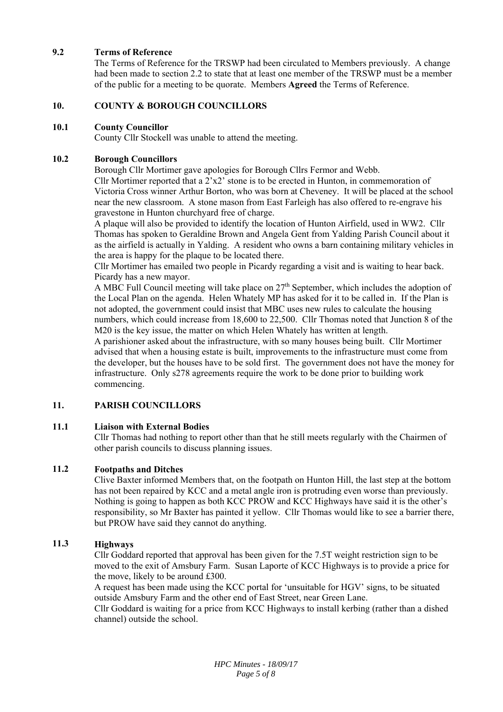# **9.2 Terms of Reference**

The Terms of Reference for the TRSWP had been circulated to Members previously. A change had been made to section 2.2 to state that at least one member of the TRSWP must be a member of the public for a meeting to be quorate. Members **Agreed** the Terms of Reference.

# **10. COUNTY & BOROUGH COUNCILLORS**

### **10.1 County Councillor**

County Cllr Stockell was unable to attend the meeting.

# **10.2 Borough Councillors**

Borough Cllr Mortimer gave apologies for Borough Cllrs Fermor and Webb.

Cllr Mortimer reported that a  $2^x \times 2^y$  stone is to be erected in Hunton, in commemoration of Victoria Cross winner Arthur Borton, who was born at Cheveney. It will be placed at the school near the new classroom. A stone mason from East Farleigh has also offered to re-engrave his gravestone in Hunton churchyard free of charge.

A plaque will also be provided to identify the location of Hunton Airfield, used in WW2. Cllr Thomas has spoken to Geraldine Brown and Angela Gent from Yalding Parish Council about it as the airfield is actually in Yalding. A resident who owns a barn containing military vehicles in the area is happy for the plaque to be located there.

Cllr Mortimer has emailed two people in Picardy regarding a visit and is waiting to hear back. Picardy has a new mayor.

A MBC Full Council meeting will take place on  $27<sup>th</sup>$  September, which includes the adoption of the Local Plan on the agenda. Helen Whately MP has asked for it to be called in. If the Plan is not adopted, the government could insist that MBC uses new rules to calculate the housing numbers, which could increase from 18,600 to 22,500. Cllr Thomas noted that Junction 8 of the M20 is the key issue, the matter on which Helen Whately has written at length.

A parishioner asked about the infrastructure, with so many houses being built. Cllr Mortimer advised that when a housing estate is built, improvements to the infrastructure must come from the developer, but the houses have to be sold first. The government does not have the money for infrastructure. Only s278 agreements require the work to be done prior to building work commencing.

# **11. PARISH COUNCILLORS**

# **11.1 Liaison with External Bodies**

Cllr Thomas had nothing to report other than that he still meets regularly with the Chairmen of other parish councils to discuss planning issues.

# **11.2 Footpaths and Ditches**

Clive Baxter informed Members that, on the footpath on Hunton Hill, the last step at the bottom has not been repaired by KCC and a metal angle iron is protruding even worse than previously. Nothing is going to happen as both KCC PROW and KCC Highways have said it is the other's responsibility, so Mr Baxter has painted it yellow. Cllr Thomas would like to see a barrier there, but PROW have said they cannot do anything.

# **11.3 Highways**

Cllr Goddard reported that approval has been given for the 7.5T weight restriction sign to be moved to the exit of Amsbury Farm. Susan Laporte of KCC Highways is to provide a price for the move, likely to be around £300.

A request has been made using the KCC portal for 'unsuitable for HGV' signs, to be situated outside Amsbury Farm and the other end of East Street, near Green Lane.

Cllr Goddard is waiting for a price from KCC Highways to install kerbing (rather than a dished channel) outside the school.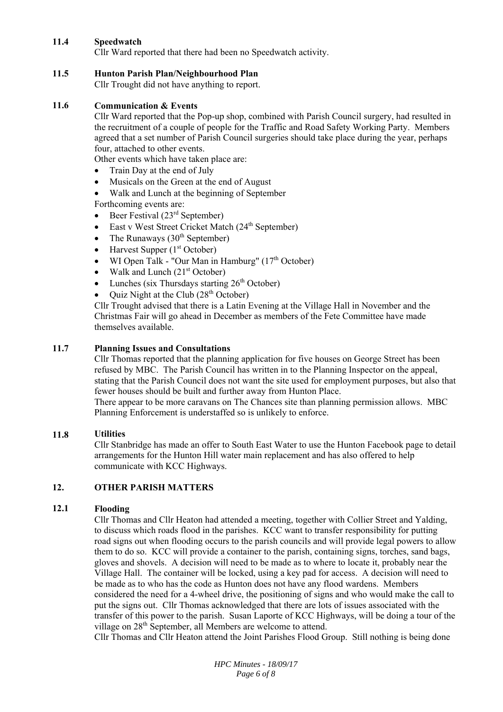# **11.4 Speedwatch**

Cllr Ward reported that there had been no Speedwatch activity.

### **11.5 Hunton Parish Plan/Neighbourhood Plan**

Cllr Trought did not have anything to report.

# **11.6 Communication & Events**

Cllr Ward reported that the Pop-up shop, combined with Parish Council surgery, had resulted in the recruitment of a couple of people for the Traffic and Road Safety Working Party. Members agreed that a set number of Parish Council surgeries should take place during the year, perhaps four, attached to other events.

Other events which have taken place are:

- Train Day at the end of July
- Musicals on the Green at the end of August
- Walk and Lunch at the beginning of September

Forthcoming events are:

- Beer Festival (23rd September)
- East v West Street Cricket Match (24<sup>th</sup> September)
- The Runaways  $(30<sup>th</sup> September)$
- Harvest Supper (1<sup>st</sup> October)
- WI Open Talk "Our Man in Hamburg"  $(17<sup>th</sup> October)$
- $\bullet$  Walk and Lunch (21<sup>st</sup> October)
- Lunches (six Thursdays starting 26<sup>th</sup> October)
- Quiz Night at the Club (28<sup>th</sup> October)

Cllr Trought advised that there is a Latin Evening at the Village Hall in November and the Christmas Fair will go ahead in December as members of the Fete Committee have made themselves available.

# **11.7 Planning Issues and Consultations**

Cllr Thomas reported that the planning application for five houses on George Street has been refused by MBC. The Parish Council has written in to the Planning Inspector on the appeal, stating that the Parish Council does not want the site used for employment purposes, but also that fewer houses should be built and further away from Hunton Place.

There appear to be more caravans on The Chances site than planning permission allows. MBC Planning Enforcement is understaffed so is unlikely to enforce.

#### **11.8 Utilities**

Cllr Stanbridge has made an offer to South East Water to use the Hunton Facebook page to detail arrangements for the Hunton Hill water main replacement and has also offered to help communicate with KCC Highways.

# **12. OTHER PARISH MATTERS**

# **12.1 Flooding**

Cllr Thomas and Cllr Heaton had attended a meeting, together with Collier Street and Yalding, to discuss which roads flood in the parishes. KCC want to transfer responsibility for putting road signs out when flooding occurs to the parish councils and will provide legal powers to allow them to do so. KCC will provide a container to the parish, containing signs, torches, sand bags, gloves and shovels. A decision will need to be made as to where to locate it, probably near the Village Hall. The container will be locked, using a key pad for access. A decision will need to be made as to who has the code as Hunton does not have any flood wardens. Members considered the need for a 4-wheel drive, the positioning of signs and who would make the call to put the signs out. Cllr Thomas acknowledged that there are lots of issues associated with the transfer of this power to the parish. Susan Laporte of KCC Highways, will be doing a tour of the village on 28<sup>th</sup> September, all Members are welcome to attend.

Cllr Thomas and Cllr Heaton attend the Joint Parishes Flood Group. Still nothing is being done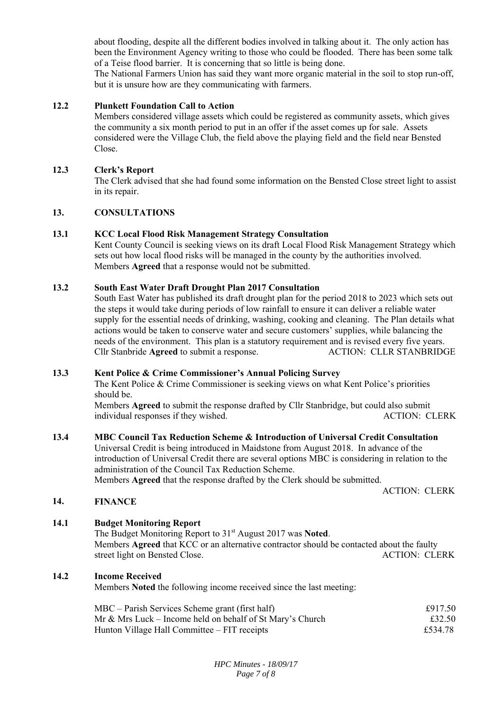about flooding, despite all the different bodies involved in talking about it. The only action has been the Environment Agency writing to those who could be flooded. There has been some talk of a Teise flood barrier. It is concerning that so little is being done.

The National Farmers Union has said they want more organic material in the soil to stop run-off, but it is unsure how are they communicating with farmers.

### **12.2 Plunkett Foundation Call to Action**

Members considered village assets which could be registered as community assets, which gives the community a six month period to put in an offer if the asset comes up for sale. Assets considered were the Village Club, the field above the playing field and the field near Bensted Close.

# **12.3 Clerk's Report**

The Clerk advised that she had found some information on the Bensted Close street light to assist in its repair.

# **13. CONSULTATIONS**

# **13.1 KCC Local Flood Risk Management Strategy Consultation**

Kent County Council is seeking views on its draft Local Flood Risk Management Strategy which sets out how local flood risks will be managed in the county by the authorities involved. Members **Agreed** that a response would not be submitted.

#### **13.2 South East Water Draft Drought Plan 2017 Consultation**

South East Water has published its draft drought plan for the period 2018 to 2023 which sets out the steps it would take during periods of low rainfall to ensure it can deliver a reliable water supply for the essential needs of drinking, washing, cooking and cleaning. The Plan details what actions would be taken to conserve water and secure customers' supplies, while balancing the needs of the environment. This plan is a statutory requirement and is revised every five years. Cllr Stanbride **Agreed** to submit a response. ACTION: CLLR STANBRIDGE

#### **13.3 Kent Police & Crime Commissioner's Annual Policing Survey**

The Kent Police & Crime Commissioner is seeking views on what Kent Police's priorities should be.

Members **Agreed** to submit the response drafted by Cllr Stanbridge, but could also submit individual responses if they wished. ACTION: CLERK

### **13.4 MBC Council Tax Reduction Scheme & Introduction of Universal Credit Consultation**

Universal Credit is being introduced in Maidstone from August 2018. In advance of the introduction of Universal Credit there are several options MBC is considering in relation to the administration of the Council Tax Reduction Scheme.

Members **Agreed** that the response drafted by the Clerk should be submitted.

ACTION: CLERK

**14. FINANCE** 

# **14.1 Budget Monitoring Report**

The Budget Monitoring Report to 31st August 2017 was **Noted**. Members **Agreed** that KCC or an alternative contractor should be contacted about the faulty street light on Bensted Close. ACTION: CLERK

**14.2 Income Received** 

Members **Noted** the following income received since the last meeting:

| $MBC - Parish$ Services Scheme grant (first half)         | £917.50 |
|-----------------------------------------------------------|---------|
| Mr & Mrs Luck – Income held on behalf of St Mary's Church | £32.50  |
| Hunton Village Hall Committee – FIT receipts              | £534.78 |